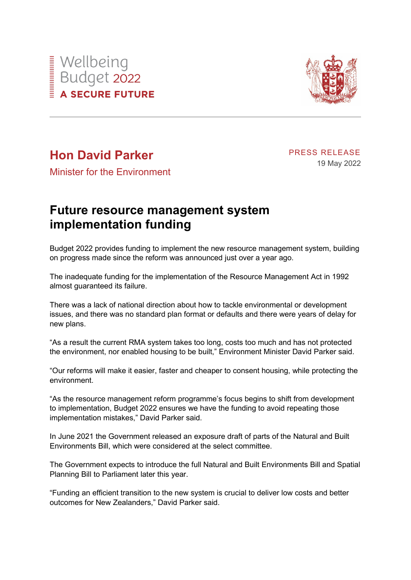



## **Hon David Parker**

## PRESS RELEASE 19 May 2022

Minister for the Environment

## **Future resource management system implementation funding**

Budget 2022 provides funding to implement the new resource management system, building on progress made since the reform was announced just over a year ago.

The inadequate funding for the implementation of the Resource Management Act in 1992 almost guaranteed its failure.

There was a lack of national direction about how to tackle environmental or development issues, and there was no standard plan format or defaults and there were years of delay for new plans.

"As a result the current RMA system takes too long, costs too much and has not protected the environment, nor enabled housing to be built," Environment Minister David Parker said.

"Our reforms will make it easier, faster and cheaper to consent housing, while protecting the environment.

"As the resource management reform programme's focus begins to shift from development to implementation, Budget 2022 ensures we have the funding to avoid repeating those implementation mistakes," David Parker said.

In June 2021 the Government released an exposure draft of parts of the Natural and Built Environments Bill, which were considered at the select committee.

The Government expects to introduce the full Natural and Built Environments Bill and Spatial Planning Bill to Parliament later this year.

"Funding an efficient transition to the new system is crucial to deliver low costs and better outcomes for New Zealanders," David Parker said.